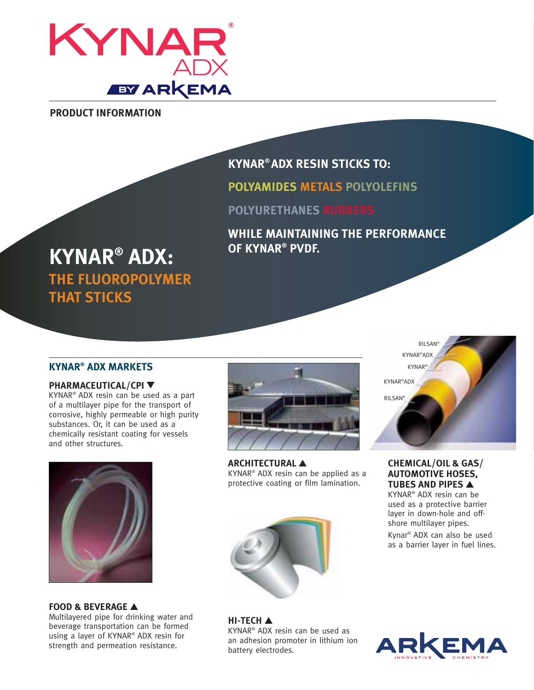

**PRODUCT INFORMATION**

# **KYNAR® ADX RESIN STICKS TO:**

**POLYAMIDES METALS POLYOLEFINS**

**POLYURETHANES RUBBERS**

**WHILE MAINTAINING THE PERFORMANCE OF KYNAR® PVDF.**

# **KYNAR® ADX: THE FLUOROPOLYMER THAT STICKS**

# **KYNAR® ADX MARKETS**

## **PHARMACEUTICAL/CPI ▼**

KYNAR® ADX resin can be used as a part of a multilayer pipe for the transport of corrosive, highly permeable or high purity substances. Or, it can be used as a chemically resistant coating for vessels and other structures.



### **FOOD & BEVERAGE** ▲

Multilayered pipe for drinking water and beverage transportation can be formed using a layer of KYNAR® ADX resin for strength and permeation resistance.



**ARCHITECTURAL** ▲ KYNAR® ADX resin can be applied as a protective coating or film lamination.



**HI-TECH** ▲ KYNAR® ADX resin can be used as an adhesion promoter in lithium ion battery electrodes.



## **CHEMICAL/OIL & GAS/ AUTOMOTIVE HOSES, TUBES AND PIPES** ▲

KYNAR® ADX resin can be used as a protective barrier layer in down-hole and offshore multilayer pipes.

Kynar® ADX can also be used as a barrier layer in fuel lines.